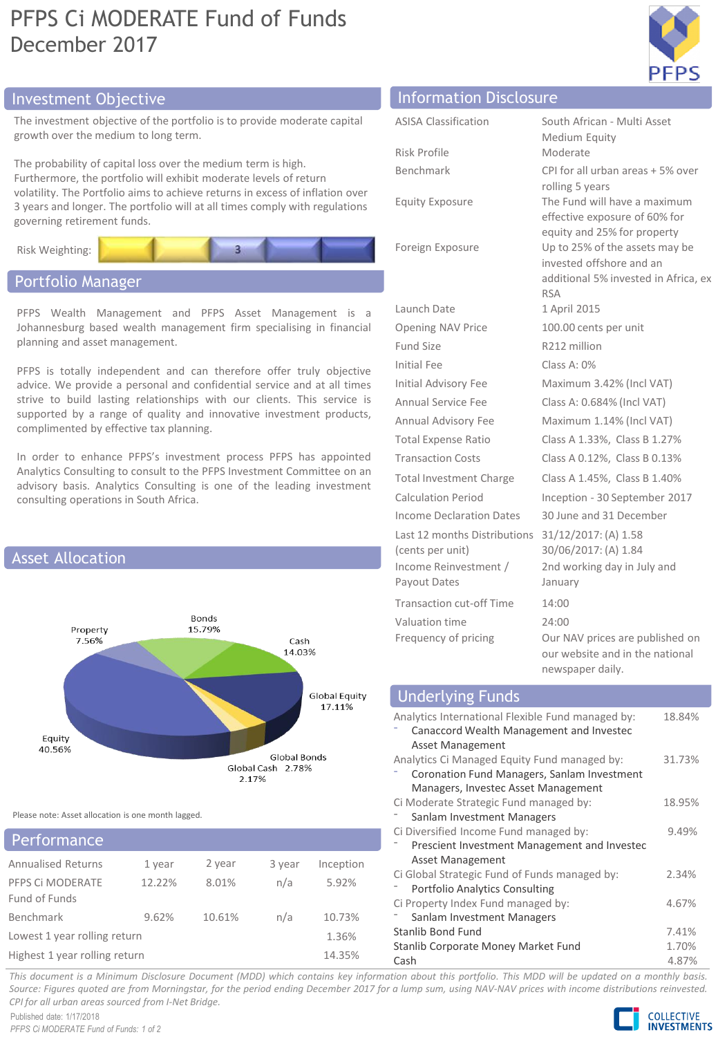## PFPS Ci MODERATE Fund of Funds December 2017



## Investment Objective Information Disclosure

The investment objective of the portfolio is to provide moderate capital growth over the medium to long term.

The probability of capital loss over the medium term is high. Furthermore, the portfolio will exhibit moderate levels of return volatility. The Portfolio aims to achieve returns in excess of inflation over 3 years and longer. The portfolio will at all times comply with regulations governing retirement funds.



## Portfolio Manager

PFPS Wealth Management and PFPS Asset Management is a Johannesburg based wealth management firm specialising in financial planning and asset management.

PFPS is totally independent and can therefore offer truly objective advice. We provide a personal and confidential service and at all times strive to build lasting relationships with our clients. This service is supported by a range of quality and innovative investment products, complimented by effective tax planning.

In order to enhance PFPS's investment process PFPS has appointed Analytics Consulting to consult to the PFPS Investment Committee on an advisory basis. Analytics Consulting is one of the leading investment consulting operations in South Africa.



Please note: Asset allocation is one month lagged.

| <b>Performance</b>                |        |        |        |           |
|-----------------------------------|--------|--------|--------|-----------|
| <b>Annualised Returns</b>         | 1 year | 2 year | 3 year | Inception |
| PFPS CI MODERATE<br>Fund of Funds | 12.22% | 8.01%  | n/a    | 5.92%     |
| Benchmark                         | 9.62%  | 10.61% | n/a    | 10.73%    |
| Lowest 1 year rolling return      |        |        |        | 1.36%     |
| Highest 1 year rolling return     |        |        |        | 14.35%    |

| 11110111101101101101000001001                                                             |                                                                                                                  |
|-------------------------------------------------------------------------------------------|------------------------------------------------------------------------------------------------------------------|
| <b>ASISA Classification</b>                                                               | South African - Multi Asset<br>Medium Equity                                                                     |
| Risk Profile                                                                              | Moderate                                                                                                         |
| Benchmark                                                                                 | CPI for all urban areas + 5% over<br>rolling 5 years                                                             |
| <b>Equity Exposure</b>                                                                    | The Fund will have a maximum<br>effective exposure of 60% for<br>equity and 25% for property                     |
| Foreign Exposure                                                                          | Up to 25% of the assets may be<br>invested offshore and an<br>additional 5% invested in Africa, ex<br><b>RSA</b> |
| Launch Date                                                                               | 1 April 2015                                                                                                     |
| <b>Opening NAV Price</b>                                                                  | 100.00 cents per unit                                                                                            |
| Fund Size                                                                                 | R <sub>212</sub> million                                                                                         |
| Initial Fee                                                                               | Class A: 0%                                                                                                      |
| Initial Advisory Fee                                                                      | Maximum 3.42% (Incl VAT)                                                                                         |
| Annual Service Fee                                                                        | Class A: 0.684% (Incl VAT)                                                                                       |
| Annual Advisory Fee                                                                       | Maximum 1.14% (Incl VAT)                                                                                         |
| <b>Total Expense Ratio</b>                                                                | Class A 1.33%, Class B 1.27%                                                                                     |
| <b>Transaction Costs</b>                                                                  | Class A 0.12%, Class B 0.13%                                                                                     |
| <b>Total Investment Charge</b>                                                            | Class A 1.45%, Class B 1.40%                                                                                     |
| <b>Calculation Period</b>                                                                 | Inception - 30 September 2017                                                                                    |
| Income Declaration Dates                                                                  | 30 June and 31 December                                                                                          |
| Last 12 months Distributions<br>(cents per unit)<br>Income Reinvestment /<br>Payout Dates | 31/12/2017: (A) 1.58<br>30/06/2017: (A) 1.84<br>2nd working day in July and<br>January                           |
| <b>Transaction cut-off Time</b>                                                           | 14:00                                                                                                            |
| Valuation time<br>Frequency of pricing                                                    | 24:00<br>Our NAV prices are published on<br>our website and in the national                                      |

## Underlying Funds

| Analytics International Flexible Fund managed by:<br>Canaccord Wealth Management and Investec | 18.84% |
|-----------------------------------------------------------------------------------------------|--------|
| Asset Management                                                                              |        |
|                                                                                               |        |
| Analytics Ci Managed Equity Fund managed by:                                                  | 31.73% |
| Coronation Fund Managers, Sanlam Investment                                                   |        |
| Managers, Investec Asset Management                                                           |        |
| Ci Moderate Strategic Fund managed by:                                                        | 18.95% |
| Sanlam Investment Managers                                                                    |        |
| Ci Diversified Income Fund managed by:                                                        | 9.49%  |
| Prescient Investment Management and Investec                                                  |        |
| Asset Management                                                                              |        |
| Ci Global Strategic Fund of Funds managed by:                                                 | 2.34%  |
| <b>Portfolio Analytics Consulting</b>                                                         |        |
| Ci Property Index Fund managed by:                                                            | 4.67%  |
| Sanlam Investment Managers                                                                    |        |
| Stanlib Bond Fund                                                                             | 7.41%  |
| Stanlib Corporate Money Market Fund                                                           | 1.70%  |
| Cash                                                                                          | 4.87%  |
|                                                                                               |        |

newspaper daily.

This document is a Minimum Disclosure Document (MDD) which contains key information about this portfolio. This MDD will be updated on a monthly basis. Source: Figures quoted are from Morningstar, for the period ending December 2017 for a lump sum, using NAV-NAV prices with income distributions reinvested. *CPI for all urban areas sourced from I-Net Bridge.*

Published date: 1/17/2018 *PFPS Ci MODERATE Fund of Funds: 1 of 2*